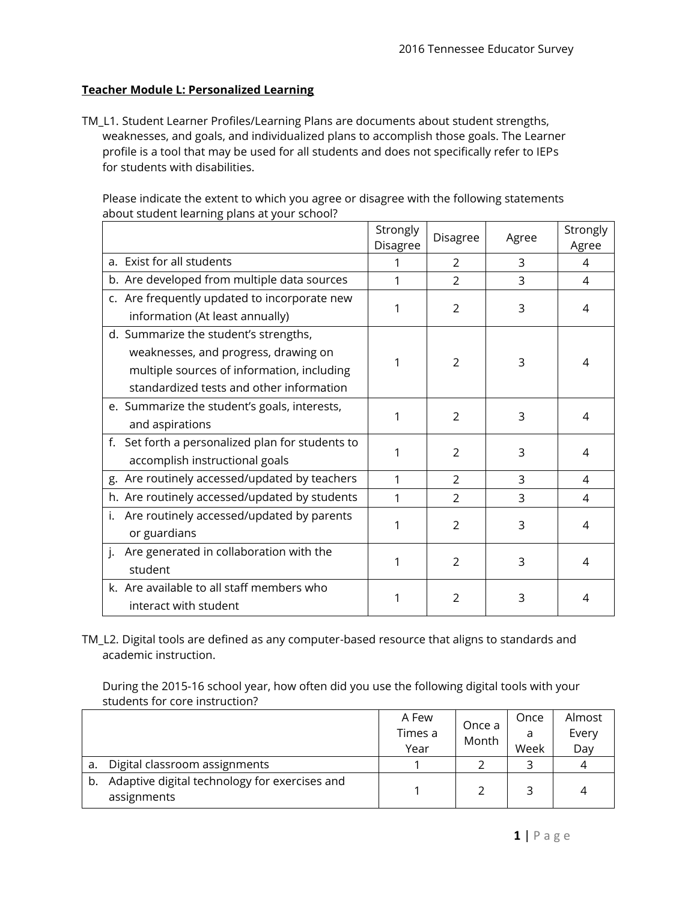## **Teacher Module L: Personalized Learning**

TM\_L1. Student Learner Profiles/Learning Plans are documents about student strengths, weaknesses, and goals, and individualized plans to accomplish those goals. The Learner profile is a tool that may be used for all students and does not specifically refer to IEPs for students with disabilities.

Please indicate the extent to which you agree or disagree with the following statements about student learning plans at your school?

|                                                  | Strongly<br>Disagree | <b>Disagree</b> | Agree | Strongly<br>Agree |
|--------------------------------------------------|----------------------|-----------------|-------|-------------------|
| a. Exist for all students                        | 1                    | $\overline{2}$  | 3     | 4                 |
| b. Are developed from multiple data sources      |                      | $\mathfrak{D}$  | 3     | 4                 |
| c. Are frequently updated to incorporate new     | 1                    |                 |       |                   |
| information (At least annually)                  |                      | 2               | 3     | 4                 |
| d. Summarize the student's strengths,            |                      |                 |       |                   |
| weaknesses, and progress, drawing on             | 1                    | $\mathcal{P}$   | 3     | 4                 |
| multiple sources of information, including       |                      |                 |       |                   |
| standardized tests and other information         |                      |                 |       |                   |
| e. Summarize the student's goals, interests,     | 1                    | $\mathcal{P}$   | 3     | 4                 |
| and aspirations                                  |                      |                 |       |                   |
| f. Set forth a personalized plan for students to |                      | 2               | 3     | 4                 |
| accomplish instructional goals                   |                      |                 |       |                   |
| g. Are routinely accessed/updated by teachers    | 1                    | $\mathcal{P}$   | 3     | 4                 |
| h. Are routinely accessed/updated by students    | 1                    | $\overline{2}$  | 3     | 4                 |
| i. Are routinely accessed/updated by parents     | 1                    |                 |       |                   |
| or guardians                                     |                      | $\overline{2}$  | 3     | 4                 |
| Are generated in collaboration with the<br>j.    | 1                    |                 |       |                   |
| student                                          |                      | 2               | 3     | 4                 |
| k. Are available to all staff members who        | 1                    | 2               | 3     | 4                 |
| interact with student                            |                      |                 |       |                   |

TM\_L2. Digital tools are defined as any computer-based resource that aligns to standards and academic instruction.

During the 2015-16 school year, how often did you use the following digital tools with your students for core instruction?

|    |                                                              | A Few<br>Times a<br>Year | Once a<br>Month | Once<br>a<br>Week | Almost<br>Every<br>Day |
|----|--------------------------------------------------------------|--------------------------|-----------------|-------------------|------------------------|
| a. | Digital classroom assignments                                |                          |                 |                   |                        |
| b. | Adaptive digital technology for exercises and<br>assignments |                          |                 |                   |                        |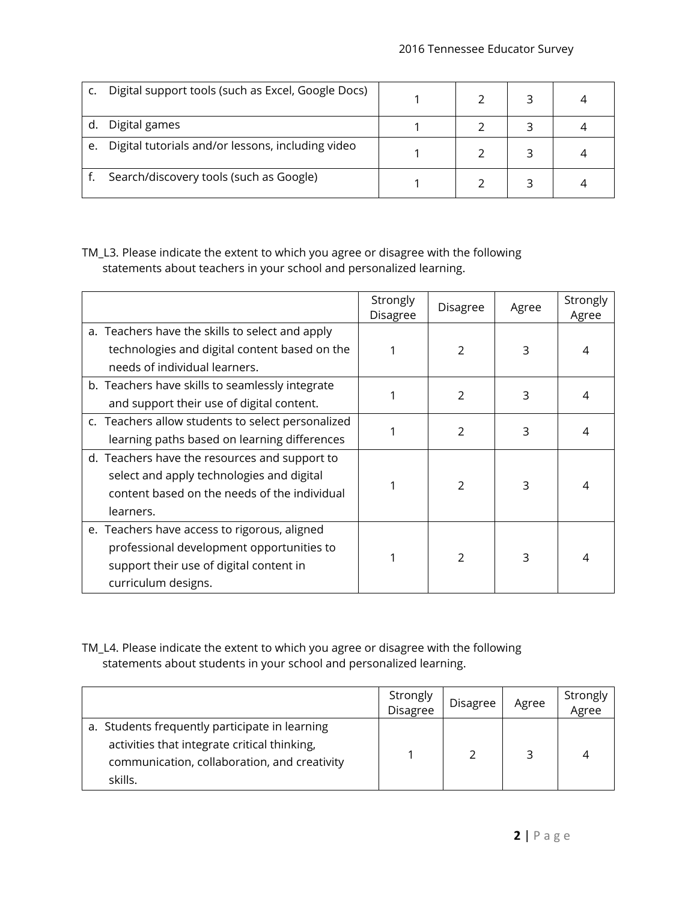|    | Digital support tools (such as Excel, Google Docs) |  |  |
|----|----------------------------------------------------|--|--|
|    | Digital games                                      |  |  |
| e. | Digital tutorials and/or lessons, including video  |  |  |
|    | Search/discovery tools (such as Google)            |  |  |

TM\_L3. Please indicate the extent to which you agree or disagree with the following statements about teachers in your school and personalized learning.

|                                                                                                                                                             | Strongly<br>Disagree | Disagree       | Agree | Strongly<br>Agree |
|-------------------------------------------------------------------------------------------------------------------------------------------------------------|----------------------|----------------|-------|-------------------|
| a. Teachers have the skills to select and apply<br>technologies and digital content based on the<br>needs of individual learners.                           |                      | $\mathfrak{p}$ | 3     | 4                 |
| b. Teachers have skills to seamlessly integrate<br>and support their use of digital content.                                                                |                      | $\mathfrak{p}$ | 3     | 4                 |
| c. Teachers allow students to select personalized<br>learning paths based on learning differences                                                           |                      | $\mathfrak{p}$ | 3     |                   |
| d. Teachers have the resources and support to<br>select and apply technologies and digital<br>content based on the needs of the individual<br>learners.     |                      | $\mathcal{P}$  | 3     | 4                 |
| e. Teachers have access to rigorous, aligned<br>professional development opportunities to<br>support their use of digital content in<br>curriculum designs. |                      | $\mathfrak{p}$ | 3     |                   |

TM\_L4. Please indicate the extent to which you agree or disagree with the following statements about students in your school and personalized learning.

|                                                                                                                                                           | <b>Strongly</b><br>Disagree | <b>Disagree</b> | Agree | Strongly<br>Agree |
|-----------------------------------------------------------------------------------------------------------------------------------------------------------|-----------------------------|-----------------|-------|-------------------|
| a. Students frequently participate in learning<br>activities that integrate critical thinking,<br>communication, collaboration, and creativity<br>skills. |                             |                 | ∍     |                   |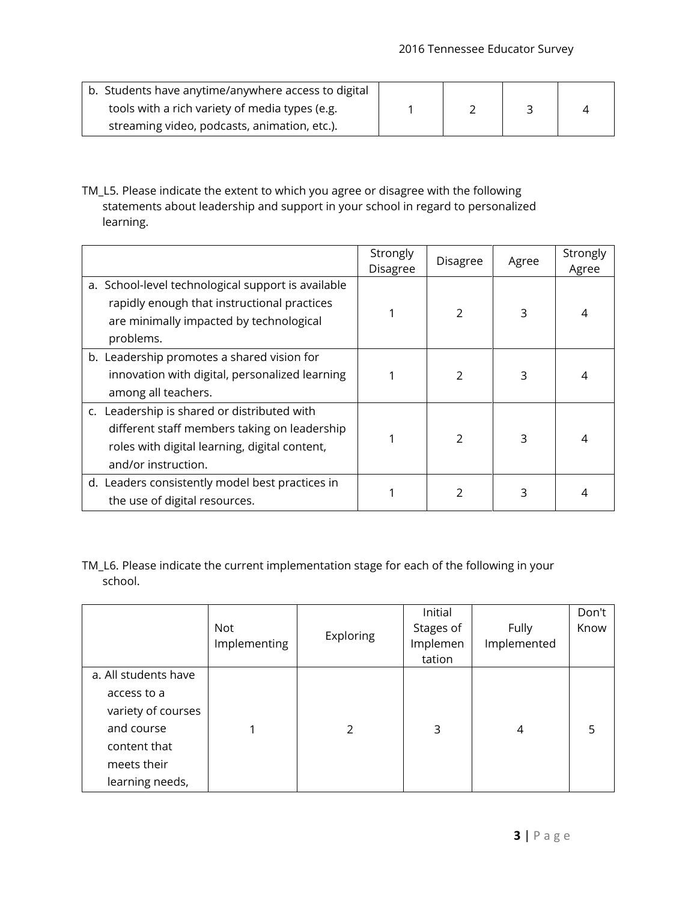| b. Students have anytime/anywhere access to digital |  |  |
|-----------------------------------------------------|--|--|
| tools with a rich variety of media types (e.g.      |  |  |
| streaming video, podcasts, animation, etc.).        |  |  |

TM\_L5. Please indicate the extent to which you agree or disagree with the following statements about leadership and support in your school in regard to personalized learning.

|                                                                                                                                                                     | Strongly<br><b>Disagree</b> | Disagree       | Agree | Strongly<br>Agree |
|---------------------------------------------------------------------------------------------------------------------------------------------------------------------|-----------------------------|----------------|-------|-------------------|
| a. School-level technological support is available<br>rapidly enough that instructional practices<br>are minimally impacted by technological<br>problems.           |                             | $\overline{2}$ | 3     | 4                 |
| b. Leadership promotes a shared vision for<br>innovation with digital, personalized learning<br>among all teachers.                                                 |                             | $\overline{2}$ | 3     | 4                 |
| c. Leadership is shared or distributed with<br>different staff members taking on leadership<br>roles with digital learning, digital content,<br>and/or instruction. |                             | $\mathcal{P}$  | 3     | 4                 |
| d. Leaders consistently model best practices in<br>the use of digital resources.                                                                                    |                             |                | 3     |                   |

TM\_L6. Please indicate the current implementation stage for each of the following in your school.

|                      | <b>Not</b><br>Implementing | Exploring | Initial<br>Stages of<br>Implemen<br>tation | <b>Fully</b><br>Implemented | Don't<br>Know |
|----------------------|----------------------------|-----------|--------------------------------------------|-----------------------------|---------------|
| a. All students have |                            |           |                                            |                             |               |
| access to a          |                            |           |                                            |                             |               |
| variety of courses   |                            |           |                                            |                             |               |
| and course           |                            | 2         | 3                                          | 4                           | 5             |
| content that         |                            |           |                                            |                             |               |
| meets their          |                            |           |                                            |                             |               |
| learning needs,      |                            |           |                                            |                             |               |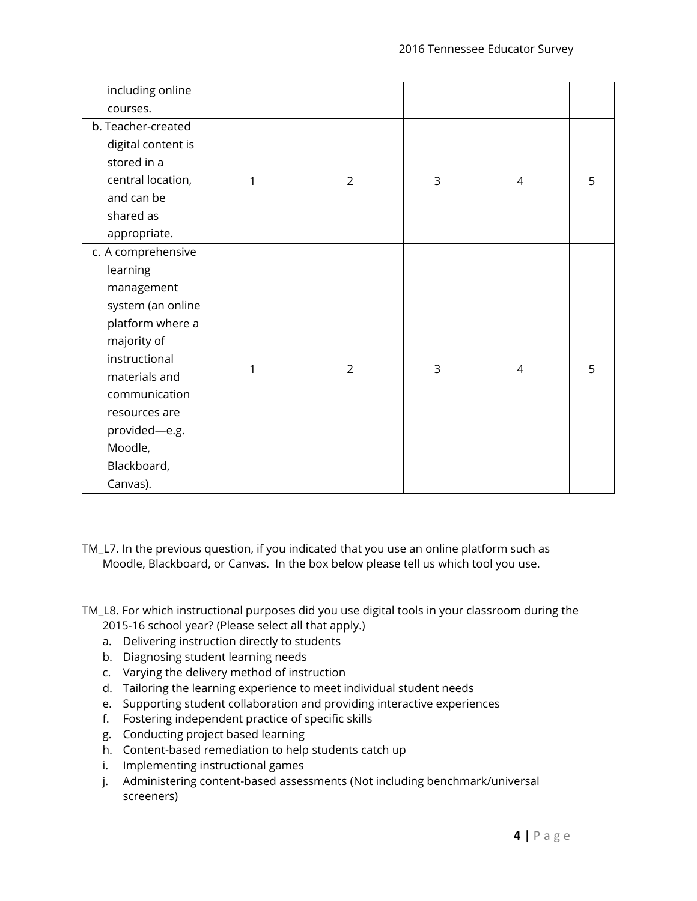| including online   |   |                |   |   |   |
|--------------------|---|----------------|---|---|---|
| courses.           |   |                |   |   |   |
| b. Teacher-created |   |                |   |   |   |
| digital content is |   |                |   |   |   |
| stored in a        |   |                |   |   |   |
| central location,  | 1 | $\overline{2}$ | 3 | 4 | 5 |
| and can be         |   |                |   |   |   |
| shared as          |   |                |   |   |   |
| appropriate.       |   |                |   |   |   |
| c. A comprehensive |   |                |   |   |   |
| learning           |   |                |   |   |   |
| management         |   |                |   |   |   |
| system (an online  |   |                |   |   |   |
| platform where a   |   |                |   |   |   |
| majority of        |   |                |   |   |   |
| instructional      |   |                |   |   |   |
| materials and      | 1 | $\overline{2}$ | 3 | 4 | 5 |
| communication      |   |                |   |   |   |
| resources are      |   |                |   |   |   |
| provided-e.g.      |   |                |   |   |   |
| Moodle,            |   |                |   |   |   |
| Blackboard,        |   |                |   |   |   |
| Canvas).           |   |                |   |   |   |

TM\_L7. In the previous question, if you indicated that you use an online platform such as Moodle, Blackboard, or Canvas. In the box below please tell us which tool you use.

TM\_L8. For which instructional purposes did you use digital tools in your classroom during the 2015-16 school year? (Please select all that apply.)

- a. Delivering instruction directly to students
- b. Diagnosing student learning needs
- c. Varying the delivery method of instruction
- d. Tailoring the learning experience to meet individual student needs
- e. Supporting student collaboration and providing interactive experiences
- f. Fostering independent practice of specific skills
- g. Conducting project based learning
- h. Content-based remediation to help students catch up
- i. Implementing instructional games
- j. Administering content-based assessments (Not including benchmark/universal screeners)